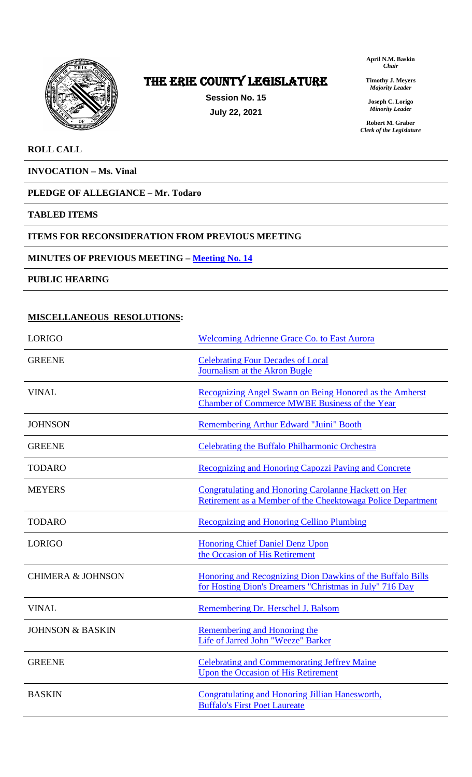

# The ERIE COUNTY LEGISLATURE

**Session No. 15 July 22, 2021**

**April N.M. Baskin** *Chair*

**Timothy J. Meyers** *Majority Leader*

**Joseph C. Lorigo** *Minority Leader*

**Robert M. Graber** *Clerk of the Legislature*

# **ROLL CALL**

**INVOCATION – Ms. Vinal**

# **PLEDGE OF ALLEGIANCE – Mr. Todaro**

### **TABLED ITEMS**

### **ITEMS FOR RECONSIDERATION FROM PREVIOUS MEETING**

### **MINUTES OF PREVIOUS MEETING – [Meeting No. 14](https://www2.erie.gov/legislature/sites/www2.erie.gov.legislature/files/uploads/Meeting%2014%20from%202021%20minutes.pdf)**

**PUBLIC HEARING**

# **MISCELLANEOUS RESOLUTIONS:**

| <b>LORIGO</b>                | <b>Welcoming Adrienne Grace Co. to East Aurora</b>                                                                         |
|------------------------------|----------------------------------------------------------------------------------------------------------------------------|
| <b>GREENE</b>                | <b>Celebrating Four Decades of Local</b><br>Journalism at the Akron Bugle                                                  |
| <b>VINAL</b>                 | Recognizing Angel Swann on Being Honored as the Amherst<br><b>Chamber of Commerce MWBE Business of the Year</b>            |
| <b>JOHNSON</b>               | Remembering Arthur Edward "Juini" Booth                                                                                    |
| <b>GREENE</b>                | Celebrating the Buffalo Philharmonic Orchestra                                                                             |
| <b>TODARO</b>                | Recognizing and Honoring Capozzi Paving and Concrete                                                                       |
| <b>MEYERS</b>                | <b>Congratulating and Honoring Carolanne Hackett on Her</b><br>Retirement as a Member of the Cheektowaga Police Department |
| <b>TODARO</b>                | <b>Recognizing and Honoring Cellino Plumbing</b>                                                                           |
| <b>LORIGO</b>                | <b>Honoring Chief Daniel Denz Upon</b><br>the Occasion of His Retirement                                                   |
| <b>CHIMERA &amp; JOHNSON</b> | Honoring and Recognizing Dion Dawkins of the Buffalo Bills<br>for Hosting Dion's Dreamers "Christmas in July" 716 Day      |
| <b>VINAL</b>                 | Remembering Dr. Herschel J. Balsom                                                                                         |
| <b>JOHNSON &amp; BASKIN</b>  | Remembering and Honoring the<br>Life of Jarred John "Weeze" Barker                                                         |
| <b>GREENE</b>                | <b>Celebrating and Commemorating Jeffrey Maine</b><br><b>Upon the Occasion of His Retirement</b>                           |
| <b>BASKIN</b>                | Congratulating and Honoring Jillian Hanesworth,<br><b>Buffalo's First Poet Laureate</b>                                    |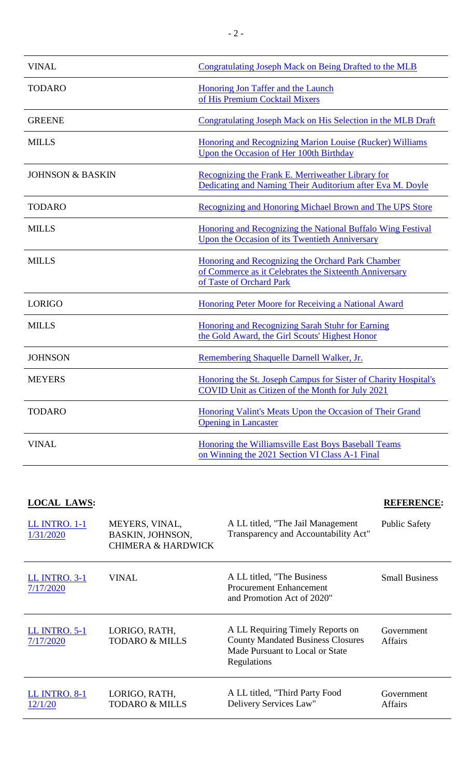| <b>VINAL</b>                | Congratulating Joseph Mack on Being Drafted to the MLB                                                                                  |
|-----------------------------|-----------------------------------------------------------------------------------------------------------------------------------------|
| <b>TODARO</b>               | <b>Honoring Jon Taffer and the Launch</b><br>of His Premium Cocktail Mixers                                                             |
| <b>GREENE</b>               | Congratulating Joseph Mack on His Selection in the MLB Draft                                                                            |
| <b>MILLS</b>                | Honoring and Recognizing Marion Louise (Rucker) Williams<br>Upon the Occasion of Her 100th Birthday                                     |
| <b>JOHNSON &amp; BASKIN</b> | Recognizing the Frank E. Merriweather Library for<br>Dedicating and Naming Their Auditorium after Eva M. Doyle                          |
| <b>TODARO</b>               | Recognizing and Honoring Michael Brown and The UPS Store                                                                                |
| <b>MILLS</b>                | Honoring and Recognizing the National Buffalo Wing Festival<br>Upon the Occasion of its Twentieth Anniversary                           |
| <b>MILLS</b>                | Honoring and Recognizing the Orchard Park Chamber<br>of Commerce as it Celebrates the Sixteenth Anniversary<br>of Taste of Orchard Park |
| <b>LORIGO</b>               | Honoring Peter Moore for Receiving a National Award                                                                                     |
| <b>MILLS</b>                | Honoring and Recognizing Sarah Stuhr for Earning<br>the Gold Award, the Girl Scouts' Highest Honor                                      |
| <b>JOHNSON</b>              | Remembering Shaquelle Darnell Walker, Jr.                                                                                               |
| <b>MEYERS</b>               | Honoring the St. Joseph Campus for Sister of Charity Hospital's<br>COVID Unit as Citizen of the Month for July 2021                     |
| <b>TODARO</b>               | Honoring Valint's Meats Upon the Occasion of Their Grand<br><b>Opening in Lancaster</b>                                                 |
| <b>VINAL</b>                | Honoring the Williamsville East Boys Baseball Teams<br>on Winning the 2021 Section VI Class A-1 Final                                   |

# **LOCAL LAWS: REFERENCE:**

| <b>LL INTRO. 1-1</b><br>1/31/2020 | MEYERS, VINAL,<br><b>BASKIN, JOHNSON,</b><br><b>CHIMERA &amp; HARDWICK</b> | A LL titled, "The Jail Management"<br>Transparency and Accountability Act"                                                     | <b>Public Safety</b>         |
|-----------------------------------|----------------------------------------------------------------------------|--------------------------------------------------------------------------------------------------------------------------------|------------------------------|
| <b>LL INTRO. 3-1</b><br>7/17/2020 | VINAL                                                                      | A LL titled, "The Business<br><b>Procurement Enhancement</b><br>and Promotion Act of 2020"                                     | <b>Small Business</b>        |
| <b>LL INTRO. 5-1</b><br>7/17/2020 | LORIGO, RATH,<br><b>TODARO &amp; MILLS</b>                                 | A LL Requiring Timely Reports on<br><b>County Mandated Business Closures</b><br>Made Pursuant to Local or State<br>Regulations | Government<br><b>Affairs</b> |
| <b>LL INTRO. 8-1</b><br>12/1/20   | LORIGO, RATH,<br><b>TODARO &amp; MILLS</b>                                 | A LL titled, "Third Party Food<br>Delivery Services Law"                                                                       | Government<br>Affairs        |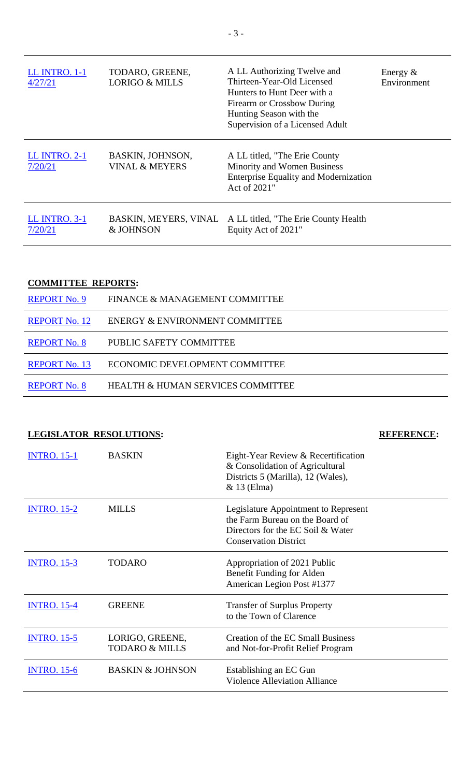| <b>LL INTRO. 1-1</b><br>4/27/21 | TODARO, GREENE,<br><b>LORIGO &amp; MILLS</b>  | A LL Authorizing Twelve and<br>Thirteen-Year-Old Licensed<br>Hunters to Hunt Deer with a<br>Firearm or Crossbow During<br>Hunting Season with the<br>Supervision of a Licensed Adult | Energy $&$<br>Environment |
|---------------------------------|-----------------------------------------------|--------------------------------------------------------------------------------------------------------------------------------------------------------------------------------------|---------------------------|
| <b>LL INTRO. 2-1</b><br>7/20/21 | BASKIN, JOHNSON,<br><b>VINAL &amp; MEYERS</b> | A LL titled, "The Erie County"<br>Minority and Women Business<br><b>Enterprise Equality and Modernization</b><br>Act of 2021"                                                        |                           |
| <b>LL INTRO. 3-1</b><br>7/20/21 | & JOHNSON                                     | BASKIN, MEYERS, VINAL A LL titled, "The Erie County Health<br>Equity Act of 2021"                                                                                                    |                           |

# **COMMITTEE REPORTS:**

| <b>REPORT No. 9</b>  | FINANCE & MANAGEMENT COMMITTEE    |
|----------------------|-----------------------------------|
| <b>REPORT No. 12</b> | ENERGY & ENVIRONMENT COMMITTEE    |
| <b>REPORT No. 8</b>  | PUBLIC SAFETY COMMITTEE           |
| <b>REPORT No. 13</b> | ECONOMIC DEVELOPMENT COMMITTEE    |
| <b>REPORT No. 8</b>  | HEALTH & HUMAN SERVICES COMMITTEE |

| <b>LEGISLATOR RESOLUTIONS:</b> |                                              |                                                                                                                                              | <b>REFERENCE:</b> |
|--------------------------------|----------------------------------------------|----------------------------------------------------------------------------------------------------------------------------------------------|-------------------|
| <b>INTRO.</b> 15-1             | <b>BASKIN</b>                                | Eight-Year Review & Recertification<br>& Consolidation of Agricultural<br>Districts 5 (Marilla), 12 (Wales),<br>& 13 (Elma)                  |                   |
| <b>INTRO.</b> 15-2             | <b>MILLS</b>                                 | Legislature Appointment to Represent<br>the Farm Bureau on the Board of<br>Directors for the EC Soil & Water<br><b>Conservation District</b> |                   |
| <b>INTRO. 15-3</b>             | <b>TODARO</b>                                | Appropriation of 2021 Public<br>Benefit Funding for Alden<br>American Legion Post #1377                                                      |                   |
| <b>INTRO. 15-4</b>             | <b>GREENE</b>                                | <b>Transfer of Surplus Property</b><br>to the Town of Clarence                                                                               |                   |
| <b>INTRO. 15-5</b>             | LORIGO, GREENE,<br><b>TODARO &amp; MILLS</b> | Creation of the EC Small Business<br>and Not-for-Profit Relief Program                                                                       |                   |
| <b>INTRO. 15-6</b>             | <b>BASKIN &amp; JOHNSON</b>                  | Establishing an EC Gun<br><b>Violence Alleviation Alliance</b>                                                                               |                   |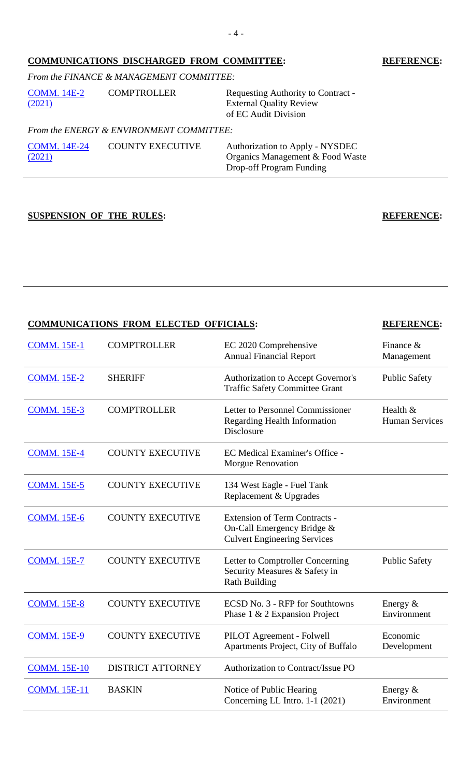# **COMMUNICATIONS DISCHARGED FROM COMMITTEE: REFERENCE:**

# *From the FINANCE & MANAGEMENT COMMITTEE:*

| COMM. 14E-2<br>(2021) | <b>COMPTROLLER</b>                       | Requesting Authority to Contract -<br><b>External Quality Review</b><br>of EC Audit Division |
|-----------------------|------------------------------------------|----------------------------------------------------------------------------------------------|
|                       | From the ENERGY & ENVIRONMENT COMMITTEE: |                                                                                              |
|                       |                                          |                                                                                              |

| <b>COMM.</b> 14E-24 | <b>COUNTY EXECUTIVE</b> | Authorization to Apply - NYSDEC  |
|---------------------|-------------------------|----------------------------------|
| (2021)              |                         | Organics Management & Food Waste |
|                     |                         | Drop-off Program Funding         |

**SUSPENSION OF THE RULES: REFERENCE:**

# **COMMUNICATIONS FROM ELECTED OFFICIALS: REFERENCE:**

| <b>COMM. 15E-1</b>  | <b>COMPTROLLER</b>       | EC 2020 Comprehensive<br><b>Annual Financial Report</b>                                                   | Finance $\&$<br>Management        |
|---------------------|--------------------------|-----------------------------------------------------------------------------------------------------------|-----------------------------------|
| <b>COMM. 15E-2</b>  | <b>SHERIFF</b>           | Authorization to Accept Governor's<br><b>Traffic Safety Committee Grant</b>                               | <b>Public Safety</b>              |
| <b>COMM. 15E-3</b>  | <b>COMPTROLLER</b>       | Letter to Personnel Commissioner<br><b>Regarding Health Information</b><br>Disclosure                     | Health &<br><b>Human Services</b> |
| <b>COMM. 15E-4</b>  | <b>COUNTY EXECUTIVE</b>  | EC Medical Examiner's Office -<br>Morgue Renovation                                                       |                                   |
| <b>COMM. 15E-5</b>  | <b>COUNTY EXECUTIVE</b>  | 134 West Eagle - Fuel Tank<br>Replacement & Upgrades                                                      |                                   |
| <b>COMM. 15E-6</b>  | <b>COUNTY EXECUTIVE</b>  | <b>Extension of Term Contracts -</b><br>On-Call Emergency Bridge &<br><b>Culvert Engineering Services</b> |                                   |
| <b>COMM. 15E-7</b>  | <b>COUNTY EXECUTIVE</b>  | Letter to Comptroller Concerning<br>Security Measures & Safety in<br><b>Rath Building</b>                 | <b>Public Safety</b>              |
| <b>COMM. 15E-8</b>  | <b>COUNTY EXECUTIVE</b>  | ECSD No. 3 - RFP for Southtowns<br>Phase 1 & 2 Expansion Project                                          | Energy $&$<br>Environment         |
| <b>COMM. 15E-9</b>  | <b>COUNTY EXECUTIVE</b>  | PILOT Agreement - Folwell<br>Apartments Project, City of Buffalo                                          | Economic<br>Development           |
| <b>COMM. 15E-10</b> | <b>DISTRICT ATTORNEY</b> | Authorization to Contract/Issue PO                                                                        |                                   |
| <b>COMM. 15E-11</b> | <b>BASKIN</b>            | Notice of Public Hearing<br>Concerning LL Intro. 1-1 (2021)                                               | Energy $&$<br>Environment         |